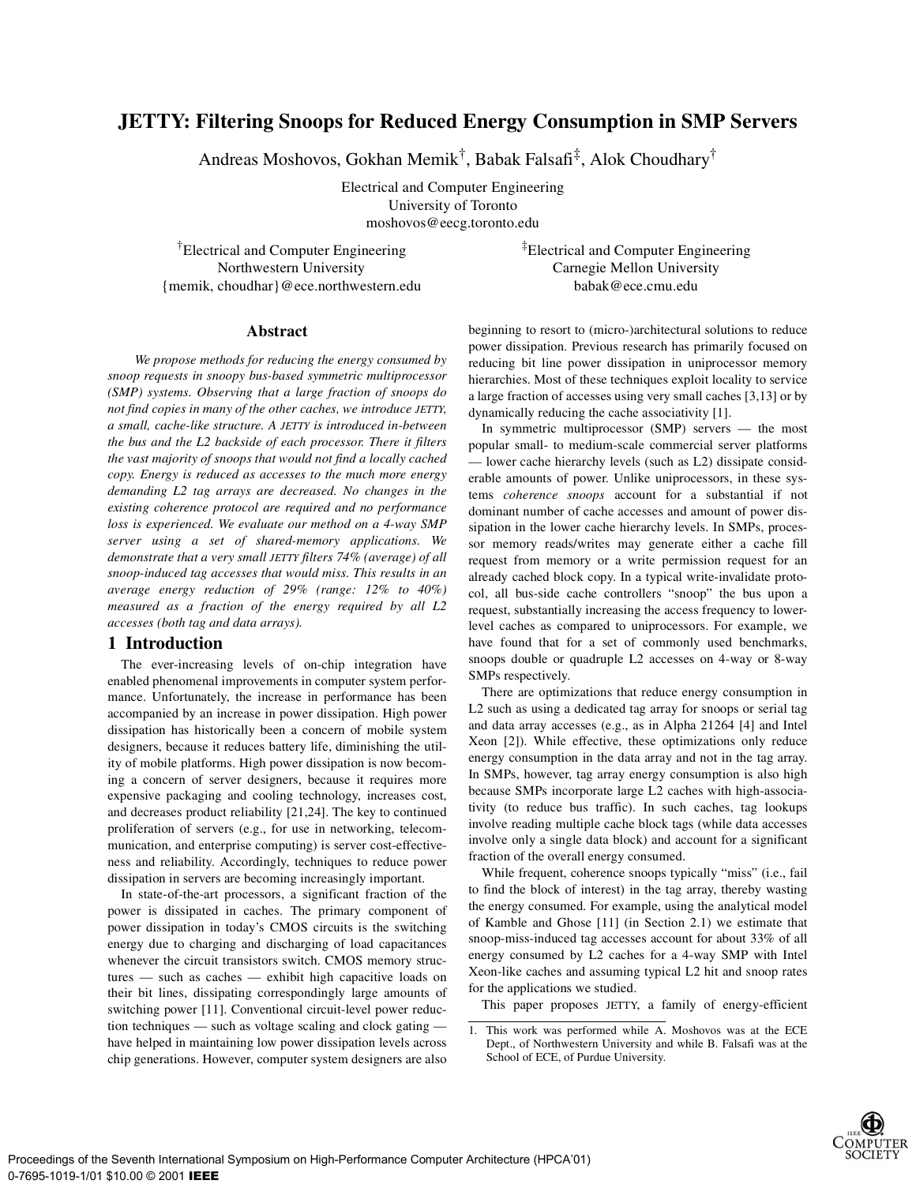# **JETTY: Filtering Snoops for Reduced Energy Consumption in SMP Servers**

Andreas Moshovos, Gokhan Memik† , Babak Falsafi‡ , Alok Choudhary†

Electrical and Computer Engineering University of Toronto moshovos@eecg.toronto.edu

†Electrical and Computer Engineering Northwestern University {memik, choudhar}@ece.northwestern.edu ‡Electrical and Computer Engineering Carnegie Mellon University babak@ece.cmu.edu

#### **Abstract**

*We propose methods for reducing the energy consumed by snoop requests in snoopy bus-based symmetric multiprocessor (SMP) systems. Observing that a large fraction of snoops do not find copies in many of the other caches, we introduce JETTY, a small, cache-like structure. A JETTY is introduced in-between the bus and the L2 backside of each processor. There it filters the vast majority of snoops that would not find a locally cached copy. Energy is reduced as accesses to the much more energy demanding L2 tag arrays are decreased. No changes in the existing coherence protocol are required and no performance loss is experienced. We evaluate our method on a 4-way SMP server using a set of shared-memory applications. We demonstrate that a very small JETTY filters 74% (average) of all snoop-induced tag accesses that would miss. This results in an average energy reduction of 29% (range: 12% to 40%) measured as a fraction of the energy required by all L2 accesses (both tag and data arrays).*

## **1 Introduction**

The ever-increasing levels of on-chip integration have enabled phenomenal improvements in computer system performance. Unfortunately, the increase in performance has been accompanied by an increase in power dissipation. High power dissipation has historically been a concern of mobile system designers, because it reduces battery life, diminishing the utility of mobile platforms. High power dissipation is now becoming a concern of server designers, because it requires more expensive packaging and cooling technology, increases cost, and decreases product reliability [21,24]. The key to continued proliferation of servers (e.g., for use in networking, telecommunication, and enterprise computing) is server cost-effectiveness and reliability. Accordingly, techniques to reduce power dissipation in servers are becoming increasingly important.

In state-of-the-art processors, a significant fraction of the power is dissipated in caches. The primary component of power dissipation in today's CMOS circuits is the switching energy due to charging and discharging of load capacitances whenever the circuit transistors switch. CMOS memory structures — such as caches — exhibit high capacitive loads on their bit lines, dissipating correspondingly large amounts of switching power [11]. Conventional circuit-level power reduction techniques — such as voltage scaling and clock gating have helped in maintaining low power dissipation levels across chip generations. However, computer system designers are also beginning to resort to (micro-)architectural solutions to reduce power dissipation. Previous research has primarily focused on reducing bit line power dissipation in uniprocessor memory hierarchies. Most of these techniques exploit locality to service a large fraction of accesses using very small caches [3,13] or by dynamically reducing the cache associativity [1].

In symmetric multiprocessor (SMP) servers — the most popular small- to medium-scale commercial server platforms — lower cache hierarchy levels (such as L2) dissipate considerable amounts of power. Unlike uniprocessors, in these systems *coherence snoops* account for a substantial if not dominant number of cache accesses and amount of power dissipation in the lower cache hierarchy levels. In SMPs, processor memory reads/writes may generate either a cache fill request from memory or a write permission request for an already cached block copy. In a typical write-invalidate protocol, all bus-side cache controllers "snoop" the bus upon a request, substantially increasing the access frequency to lowerlevel caches as compared to uniprocessors. For example, we have found that for a set of commonly used benchmarks, snoops double or quadruple L2 accesses on 4-way or 8-way SMPs respectively.

There are optimizations that reduce energy consumption in L2 such as using a dedicated tag array for snoops or serial tag and data array accesses (e.g., as in Alpha 21264 [4] and Intel Xeon [2]). While effective, these optimizations only reduce energy consumption in the data array and not in the tag array. In SMPs, however, tag array energy consumption is also high because SMPs incorporate large L2 caches with high-associativity (to reduce bus traffic). In such caches, tag lookups involve reading multiple cache block tags (while data accesses involve only a single data block) and account for a significant fraction of the overall energy consumed.

While frequent, coherence snoops typically "miss" (i.e., fail to find the block of interest) in the tag array, thereby wasting the energy consumed. For example, using the analytical model of Kamble and Ghose [11] (in Section 2.1) we estimate that snoop-miss-induced tag accesses account for about 33% of all energy consumed by L2 caches for a 4-way SMP with Intel Xeon-like caches and assuming typical L2 hit and snoop rates for the applications we studied.

This paper proposes JETTY, a family of energy-efficient

<sup>1.</sup> This work was performed while A. Moshovos was at the ECE Dept., of Northwestern University and while B. Falsafi was at the School of ECE, of Purdue University.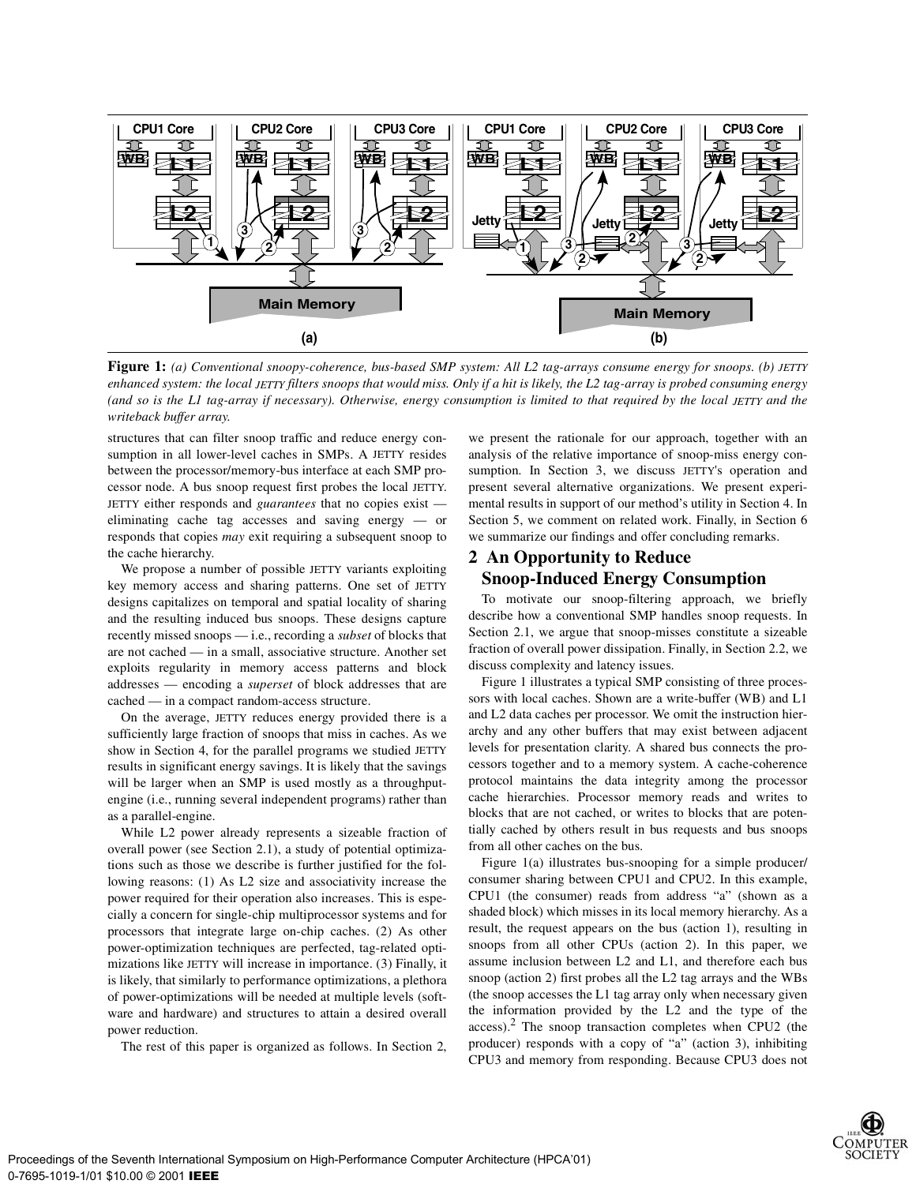

**Figure 1:** *(a) Conventional snoopy-coherence, bus-based SMP system: All L2 tag-arrays consume energy for snoops. (b) JETTY enhanced system: the local JETTY filters snoops that would miss. Only if a hit is likely, the L2 tag-array is probed consuming energy (and so is the L1 tag-array if necessary). Otherwise, energy consumption is limited to that required by the local JETTY and the writeback buffer array.*

structures that can filter snoop traffic and reduce energy consumption in all lower-level caches in SMPs. A JETTY resides between the processor/memory-bus interface at each SMP processor node. A bus snoop request first probes the local JETTY. JETTY either responds and *guarantees* that no copies exist eliminating cache tag accesses and saving energy — or responds that copies *may* exit requiring a subsequent snoop to the cache hierarchy.

We propose a number of possible JETTY variants exploiting key memory access and sharing patterns. One set of JETTY designs capitalizes on temporal and spatial locality of sharing and the resulting induced bus snoops. These designs capture recently missed snoops — i.e., recording a *subset* of blocks that are not cached — in a small, associative structure. Another set exploits regularity in memory access patterns and block addresses — encoding a *superset* of block addresses that are cached — in a compact random-access structure.

On the average, JETTY reduces energy provided there is a sufficiently large fraction of snoops that miss in caches. As we show in Section 4, for the parallel programs we studied JETTY results in significant energy savings. It is likely that the savings will be larger when an SMP is used mostly as a throughputengine (i.e., running several independent programs) rather than as a parallel-engine.

While L2 power already represents a sizeable fraction of overall power (see Section 2.1), a study of potential optimizations such as those we describe is further justified for the following reasons: (1) As L2 size and associativity increase the power required for their operation also increases. This is especially a concern for single-chip multiprocessor systems and for processors that integrate large on-chip caches. (2) As other power-optimization techniques are perfected, tag-related optimizations like JETTY will increase in importance. (3) Finally, it is likely, that similarly to performance optimizations, a plethora of power-optimizations will be needed at multiple levels (software and hardware) and structures to attain a desired overall power reduction.

The rest of this paper is organized as follows. In Section 2,

we present the rationale for our approach, together with an analysis of the relative importance of snoop-miss energy consumption. In Section 3, we discuss JETTY's operation and present several alternative organizations. We present experimental results in support of our method's utility in Section 4. In Section 5, we comment on related work. Finally, in Section 6 we summarize our findings and offer concluding remarks.

# **2 An Opportunity to Reduce Snoop-Induced Energy Consumption**

To motivate our snoop-filtering approach, we briefly describe how a conventional SMP handles snoop requests. In Section 2.1, we argue that snoop-misses constitute a sizeable fraction of overall power dissipation. Finally, in Section 2.2, we discuss complexity and latency issues.

Figure 1 illustrates a typical SMP consisting of three processors with local caches. Shown are a write-buffer (WB) and L1 and L2 data caches per processor. We omit the instruction hierarchy and any other buffers that may exist between adjacent levels for presentation clarity. A shared bus connects the processors together and to a memory system. A cache-coherence protocol maintains the data integrity among the processor cache hierarchies. Processor memory reads and writes to blocks that are not cached, or writes to blocks that are potentially cached by others result in bus requests and bus snoops from all other caches on the bus.

Figure 1(a) illustrates bus-snooping for a simple producer/ consumer sharing between CPU1 and CPU2. In this example, CPU1 (the consumer) reads from address "a" (shown as a shaded block) which misses in its local memory hierarchy. As a result, the request appears on the bus (action 1), resulting in snoops from all other CPUs (action 2). In this paper, we assume inclusion between L2 and L1, and therefore each bus snoop (action 2) first probes all the L2 tag arrays and the WBs (the snoop accesses the L1 tag array only when necessary given the information provided by the L2 and the type of the access).2 The snoop transaction completes when CPU2 (the producer) responds with a copy of "a" (action 3), inhibiting CPU3 and memory from responding. Because CPU3 does not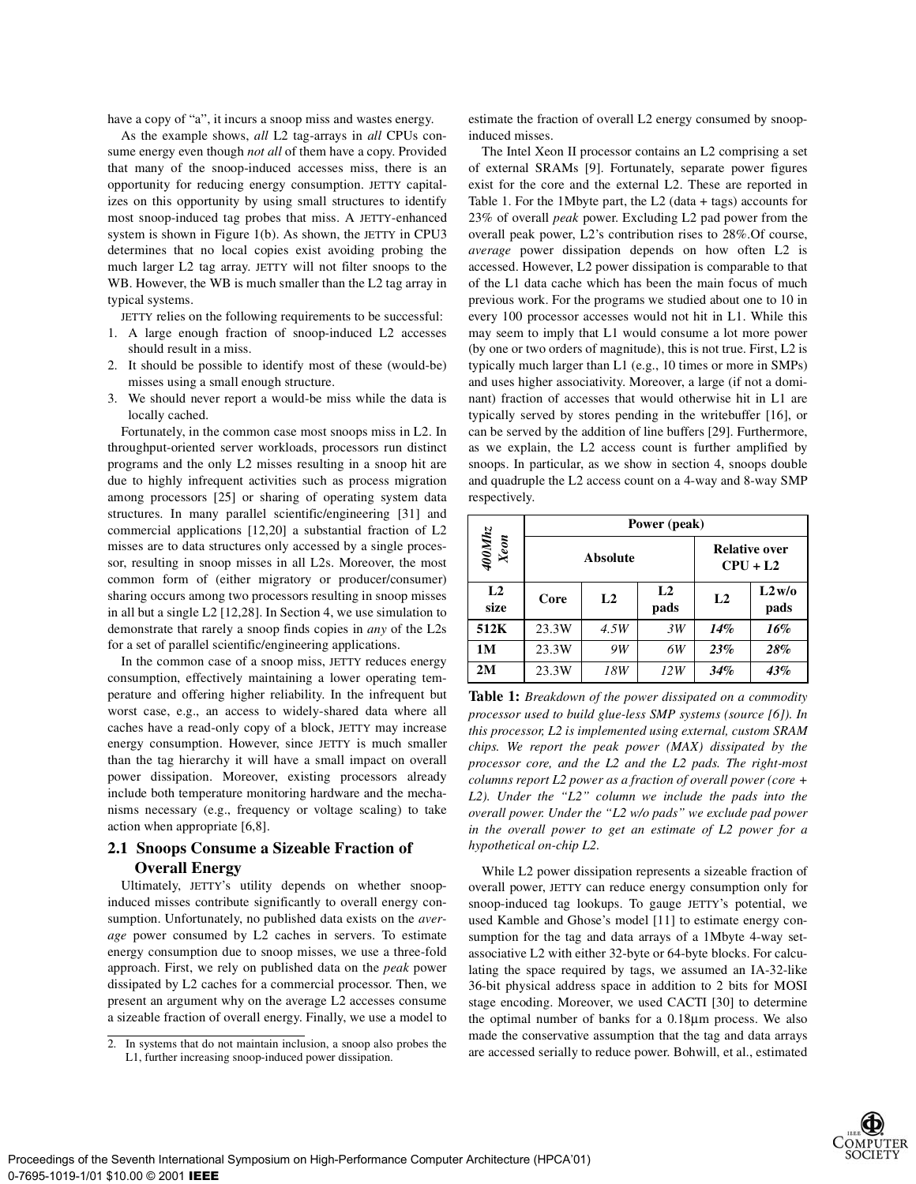have a copy of "a", it incurs a snoop miss and wastes energy.

As the example shows, *all* L2 tag-arrays in *all* CPUs consume energy even though *not all* of them have a copy. Provided that many of the snoop-induced accesses miss, there is an opportunity for reducing energy consumption. JETTY capitalizes on this opportunity by using small structures to identify most snoop-induced tag probes that miss. A JETTY-enhanced system is shown in Figure 1(b). As shown, the JETTY in CPU3 determines that no local copies exist avoiding probing the much larger L2 tag array. JETTY will not filter snoops to the WB. However, the WB is much smaller than the L2 tag array in typical systems.

JETTY relies on the following requirements to be successful:

- 1. A large enough fraction of snoop-induced L2 accesses should result in a miss.
- 2. It should be possible to identify most of these (would-be) misses using a small enough structure.
- 3. We should never report a would-be miss while the data is locally cached.

Fortunately, in the common case most snoops miss in L2. In throughput-oriented server workloads, processors run distinct programs and the only L2 misses resulting in a snoop hit are due to highly infrequent activities such as process migration among processors [25] or sharing of operating system data structures. In many parallel scientific/engineering [31] and commercial applications [12,20] a substantial fraction of L2 misses are to data structures only accessed by a single processor, resulting in snoop misses in all L2s. Moreover, the most common form of (either migratory or producer/consumer) sharing occurs among two processors resulting in snoop misses in all but a single L2 [12,28]. In Section 4, we use simulation to demonstrate that rarely a snoop finds copies in *any* of the L2s for a set of parallel scientific/engineering applications.

In the common case of a snoop miss, JETTY reduces energy consumption, effectively maintaining a lower operating temperature and offering higher reliability. In the infrequent but worst case, e.g., an access to widely-shared data where all caches have a read-only copy of a block, JETTY may increase energy consumption. However, since JETTY is much smaller than the tag hierarchy it will have a small impact on overall power dissipation. Moreover, existing processors already include both temperature monitoring hardware and the mechanisms necessary (e.g., frequency or voltage scaling) to take action when appropriate [6,8].

## **2.1 Snoops Consume a Sizeable Fraction of Overall Energy**

Ultimately, JETTY's utility depends on whether snoopinduced misses contribute significantly to overall energy consumption. Unfortunately, no published data exists on the *average* power consumed by L2 caches in servers. To estimate energy consumption due to snoop misses, we use a three-fold approach. First, we rely on published data on the *peak* power dissipated by L2 caches for a commercial processor. Then, we present an argument why on the average L2 accesses consume a sizeable fraction of overall energy. Finally, we use a model to estimate the fraction of overall L2 energy consumed by snoopinduced misses.

The Intel Xeon II processor contains an L2 comprising a set of external SRAMs [9]. Fortunately, separate power figures exist for the core and the external L2. These are reported in Table 1. For the 1Mbyte part, the L2 (data + tags) accounts for 23% of overall *peak* power. Excluding L2 pad power from the overall peak power, L2's contribution rises to 28%.Of course, *average* power dissipation depends on how often L2 is accessed. However, L2 power dissipation is comparable to that of the L1 data cache which has been the main focus of much previous work. For the programs we studied about one to 10 in every 100 processor accesses would not hit in L1. While this may seem to imply that L1 would consume a lot more power (by one or two orders of magnitude), this is not true. First, L2 is typically much larger than L1 (e.g., 10 times or more in SMPs) and uses higher associativity. Moreover, a large (if not a dominant) fraction of accesses that would otherwise hit in L1 are typically served by stores pending in the writebuffer [16], or can be served by the addition of line buffers [29]. Furthermore, as we explain, the L2 access count is further amplified by snoops. In particular, as we show in section 4, snoops double and quadruple the L2 access count on a 4-way and 8-way SMP respectively.

|                            | Power (peak) |                |                                    |                |               |  |  |
|----------------------------|--------------|----------------|------------------------------------|----------------|---------------|--|--|
| $\frac{400M\hbar z}{Xeon}$ |              | Absolute       | <b>Relative over</b><br>$CPU + L2$ |                |               |  |  |
| L2<br>size                 | Core         | L <sub>2</sub> | L <sub>2</sub><br>pads             | L <sub>2</sub> | L2w/o<br>pads |  |  |
| 512K                       | 23.3W        | 4.5W           | 3W                                 | 14%            | 16%           |  |  |
| 1M                         | 23.3W        | 9W             | 6W                                 | 23%            | 28%           |  |  |
| 2M                         | 23.3W        | 18W            | 12W                                | 34%            | 43%           |  |  |

**Table 1:** *Breakdown of the power dissipated on a commodity processor used to build glue-less SMP systems (source [6]). In this processor, L2 is implemented using external, custom SRAM chips. We report the peak power (MAX) dissipated by the processor core, and the L2 and the L2 pads. The right-most columns report L2 power as a fraction of overall power (core + L2). Under the "L2" column we include the pads into the overall power. Under the "L2 w/o pads" we exclude pad power in the overall power to get an estimate of L2 power for a hypothetical on-chip L2.*

While L2 power dissipation represents a sizeable fraction of overall power, JETTY can reduce energy consumption only for snoop-induced tag lookups. To gauge JETTY's potential, we used Kamble and Ghose's model [11] to estimate energy consumption for the tag and data arrays of a 1Mbyte 4-way setassociative L2 with either 32-byte or 64-byte blocks. For calculating the space required by tags, we assumed an IA-32-like 36-bit physical address space in addition to 2 bits for MOSI stage encoding. Moreover, we used CACTI [30] to determine the optimal number of banks for a 0.18µm process. We also made the conservative assumption that the tag and data arrays 2. In systems that do not maintain inclusion, a snoop also probes the accessed serially to reduce power. Bohwill, et al., estimated 2. In further increasing spoon-induced power dissination



L1, further increasing snoop-induced power dissipation.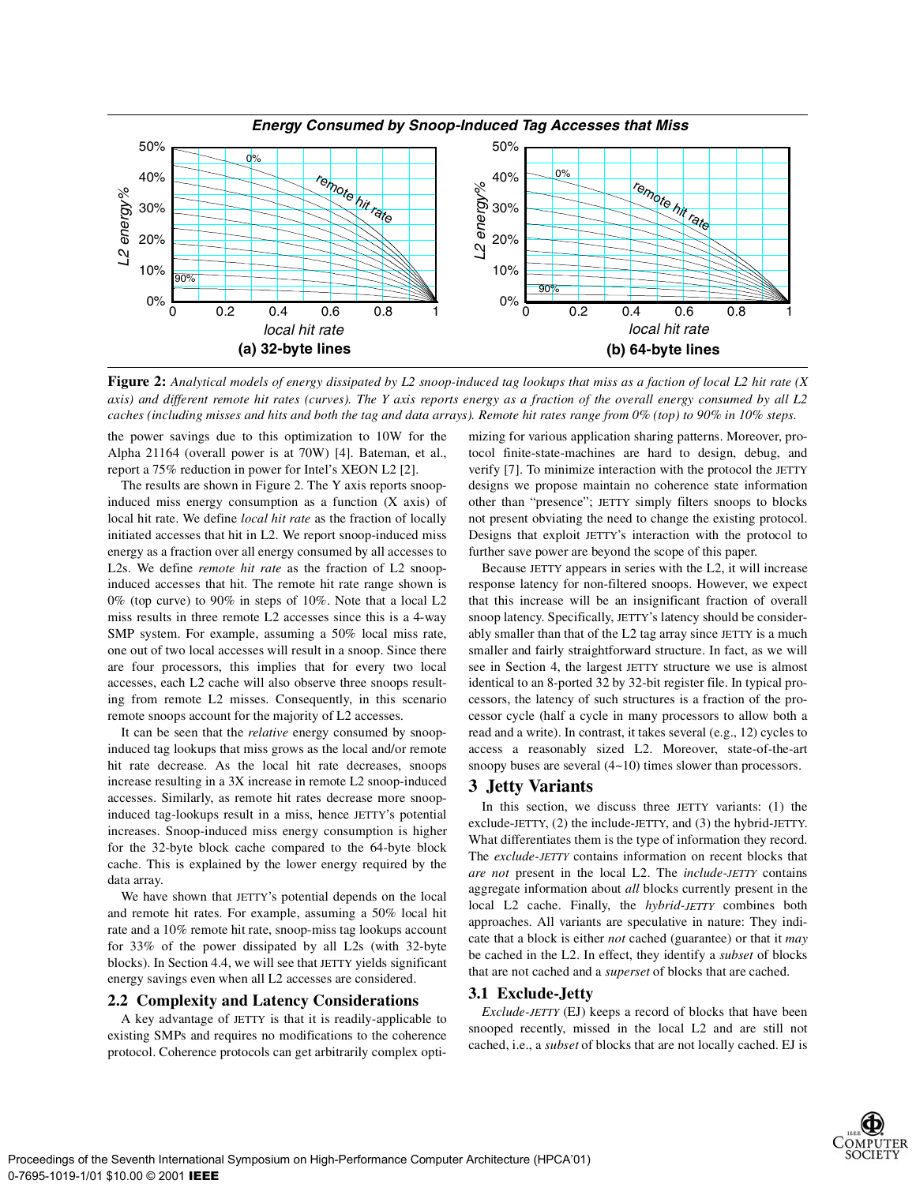

**Figure 2:** *Analytical models of energy dissipated by L2 snoop-induced tag lookups that miss as a faction of local L2 hit rate (X axis) and different remote hit rates (curves). The Y axis reports energy as a fraction of the overall energy consumed by all L2 caches (including misses and hits and both the tag and data arrays). Remote hit rates range from 0% (top) to 90% in 10% steps.* 

the power savings due to this optimization to 10W for the Alpha 21164 (overall power is at 70W) [4]. Bateman, et al., report a 75% reduction in power for Intel's XEON L2 [2].

The results are shown in Figure 2. The Y axis reports snoopinduced miss energy consumption as a function (X axis) of local hit rate. We define *local hit rate* as the fraction of locally initiated accesses that hit in L2. We report snoop-induced miss energy as a fraction over all energy consumed by all accesses to L2s. We define *remote hit rate* as the fraction of L2 snoopinduced accesses that hit. The remote hit rate range shown is 0% (top curve) to 90% in steps of 10%. Note that a local L2 miss results in three remote L2 accesses since this is a 4-way SMP system. For example, assuming a 50% local miss rate, one out of two local accesses will result in a snoop. Since there are four processors, this implies that for every two local accesses, each L2 cache will also observe three snoops resulting from remote L2 misses. Consequently, in this scenario remote snoops account for the majority of L2 accesses.

It can be seen that the *relative* energy consumed by snoopinduced tag lookups that miss grows as the local and/or remote hit rate decrease. As the local hit rate decreases, snoops increase resulting in a 3X increase in remote L2 snoop-induced accesses. Similarly, as remote hit rates decrease more snoopinduced tag-lookups result in a miss, hence JETTY's potential increases. Snoop-induced miss energy consumption is higher for the 32-byte block cache compared to the 64-byte block cache. This is explained by the lower energy required by the data array.

We have shown that JETTY's potential depends on the local and remote hit rates. For example, assuming a 50% local hit rate and a 10% remote hit rate, snoop-miss tag lookups account for 33% of the power dissipated by all L2s (with 32-byte blocks). In Section 4.4, we will see that JETTY yields significant energy savings even when all L2 accesses are considered.

#### **2.2 Complexity and Latency Considerations**

A key advantage of JETTY is that it is readily-applicable to existing SMPs and requires no modifications to the coherence protocol. Coherence protocols can get arbitrarily complex optimizing for various application sharing patterns. Moreover, protocol finite-state-machines are hard to design, debug, and verify [7]. To minimize interaction with the protocol the JETTY designs we propose maintain no coherence state information other than "presence"; JETTY simply filters snoops to blocks not present obviating the need to change the existing protocol. Designs that exploit JETTY's interaction with the protocol to further save power are beyond the scope of this paper.

Because JETTY appears in series with the L2, it will increase response latency for non-filtered snoops. However, we expect that this increase will be an insignificant fraction of overall snoop latency. Specifically, JETTY's latency should be considerably smaller than that of the L2 tag array since JETTY is a much smaller and fairly straightforward structure. In fact, as we will see in Section 4, the largest JETTY structure we use is almost identical to an 8-ported 32 by 32-bit register file. In typical processors, the latency of such structures is a fraction of the processor cycle (half a cycle in many processors to allow both a read and a write). In contrast, it takes several (e.g., 12) cycles to access a reasonably sized L2. Moreover, state-of-the-art snoopy buses are several  $(4\nu 10)$  times slower than processors.

#### **3 Jetty Variants**

In this section, we discuss three JETTY variants: (1) the exclude-JETTY, (2) the include-JETTY, and (3) the hybrid-JETTY. What differentiates them is the type of information they record. The *exclude-JETTY* contains information on recent blocks that *are not* present in the local L2. The *include-JETTY* contains aggregate information about *all* blocks currently present in the local L2 cache. Finally, the *hybrid-JETTY* combines both approaches. All variants are speculative in nature: They indicate that a block is either *not* cached (guarantee) or that it *may* be cached in the L2. In effect, they identify a *subset* of blocks that are not cached and a *superset* of blocks that are cached.

#### **3.1 Exclude-Jetty**

*Exclude-JETTY* (EJ) keeps a record of blocks that have been snooped recently, missed in the local L2 and are still not cached, i.e., a *subset* of blocks that are not locally cached. EJ is

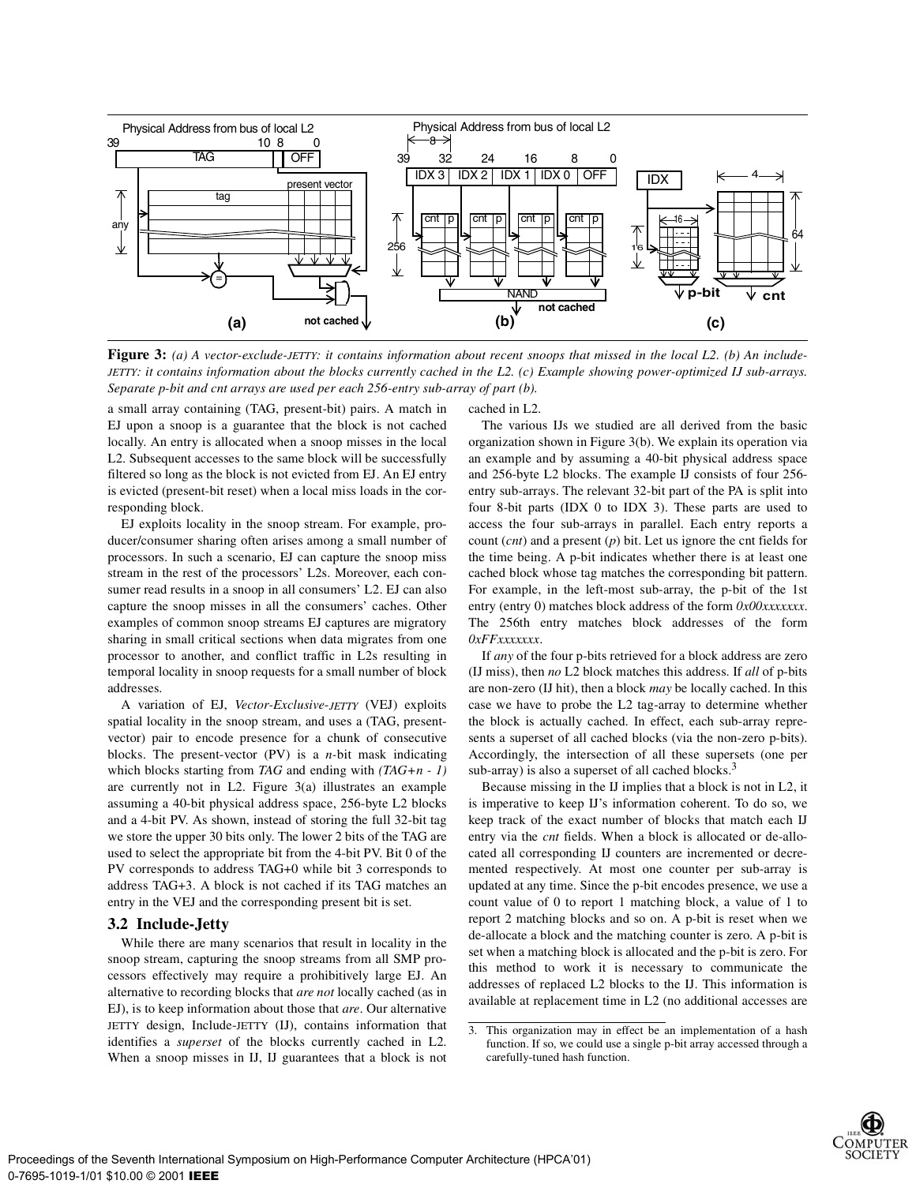

**Figure 3:** (a) A vector-exclude-JETTY: it contains information about recent snoops that missed in the local L2. (b) An include-*JETTY: it contains information about the blocks currently cached in the L2. (c) Example showing power-optimized IJ sub-arrays. Separate p-bit and cnt arrays are used per each 256-entry sub-array of part (b).*

a small array containing (TAG, present-bit) pairs. A match in EJ upon a snoop is a guarantee that the block is not cached locally. An entry is allocated when a snoop misses in the local L2. Subsequent accesses to the same block will be successfully filtered so long as the block is not evicted from EJ. An EJ entry is evicted (present-bit reset) when a local miss loads in the corresponding block.

EJ exploits locality in the snoop stream. For example, producer/consumer sharing often arises among a small number of processors. In such a scenario, EJ can capture the snoop miss stream in the rest of the processors' L2s. Moreover, each consumer read results in a snoop in all consumers' L2. EJ can also capture the snoop misses in all the consumers' caches. Other examples of common snoop streams EJ captures are migratory sharing in small critical sections when data migrates from one processor to another, and conflict traffic in L2s resulting in temporal locality in snoop requests for a small number of block addresses.

A variation of EJ, *Vector-Exclusive*-*JETTY* (VEJ) exploits spatial locality in the snoop stream, and uses a (TAG, presentvector) pair to encode presence for a chunk of consecutive blocks. The present-vector (PV) is a *n-*bit mask indicating which blocks starting from *TAG* and ending with *(TAG+n - 1)* are currently not in L2. Figure 3(a) illustrates an example assuming a 40-bit physical address space, 256-byte L2 blocks and a 4-bit PV. As shown, instead of storing the full 32-bit tag we store the upper 30 bits only. The lower 2 bits of the TAG are used to select the appropriate bit from the 4-bit PV. Bit 0 of the PV corresponds to address TAG+0 while bit 3 corresponds to address TAG+3. A block is not cached if its TAG matches an entry in the VEJ and the corresponding present bit is set.

#### **3.2 Include-Jetty**

While there are many scenarios that result in locality in the snoop stream, capturing the snoop streams from all SMP processors effectively may require a prohibitively large EJ. An alternative to recording blocks that *are not* locally cached (as in EJ), is to keep information about those that *are*. Our alternative JETTY design, Include-JETTY (IJ), contains information that identifies a *superset* of the blocks currently cached in L2. When a snoop misses in IJ, IJ guarantees that a block is not

cached in L2.

The various IJs we studied are all derived from the basic organization shown in Figure 3(b). We explain its operation via an example and by assuming a 40-bit physical address space and 256-byte L2 blocks. The example IJ consists of four 256 entry sub-arrays. The relevant 32-bit part of the PA is split into four 8-bit parts (IDX 0 to IDX 3). These parts are used to access the four sub-arrays in parallel. Each entry reports a count (*cnt*) and a present (*p*) bit. Let us ignore the cnt fields for the time being. A p-bit indicates whether there is at least one cached block whose tag matches the corresponding bit pattern. For example, in the left-most sub-array, the p-bit of the 1st entry (entry 0) matches block address of the form *0x00xxxxxxx*. The 256th entry matches block addresses of the form *0xFFxxxxxxx*.

If *any* of the four p-bits retrieved for a block address are zero (IJ miss), then *no* L2 block matches this address. If *all* of p-bits are non-zero (IJ hit), then a block *may* be locally cached. In this case we have to probe the L2 tag-array to determine whether the block is actually cached. In effect, each sub-array represents a superset of all cached blocks (via the non-zero p-bits). Accordingly, the intersection of all these supersets (one per sub-array) is also a superset of all cached blocks.<sup>3</sup>

Because missing in the IJ implies that a block is not in L2, it is imperative to keep IJ's information coherent. To do so, we keep track of the exact number of blocks that match each IJ entry via the *cnt* fields. When a block is allocated or de-allocated all corresponding IJ counters are incremented or decremented respectively. At most one counter per sub-array is updated at any time. Since the p-bit encodes presence, we use a count value of 0 to report 1 matching block, a value of 1 to report 2 matching blocks and so on. A p-bit is reset when we de-allocate a block and the matching counter is zero. A p-bit is set when a matching block is allocated and the p-bit is zero. For this method to work it is necessary to communicate the addresses of replaced L2 blocks to the IJ. This information is available at replacement time in L2 (no additional accesses are

<sup>3.</sup> This organization may in effect be an implementation of a hash function. If so, we could use a single p-bit array accessed through a carefully-tuned hash function.

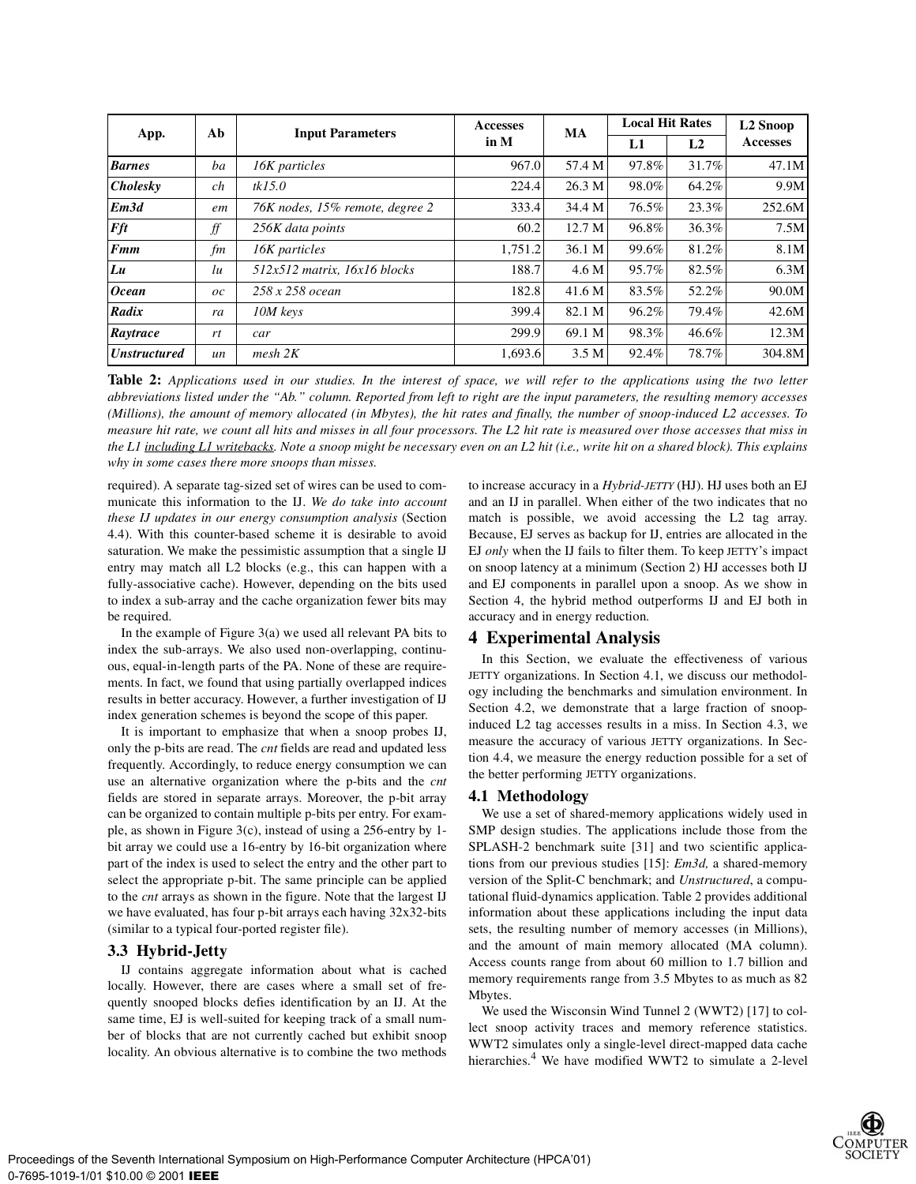|                     | Ab      | <b>Input Parameters</b>         | <b>Accesses</b><br>in M | MA                | <b>Local Hit Rates</b> |       | L <sub>2</sub> Snoop |
|---------------------|---------|---------------------------------|-------------------------|-------------------|------------------------|-------|----------------------|
| App.                |         |                                 |                         |                   | L1                     | L2    | <b>Accesses</b>      |
| <b>Barnes</b>       | ba      | 16K particles                   | 967.0                   | 57.4 M            | 97.8%                  | 31.7% | 47.1M                |
| <b>Cholesky</b>     | ch      | tkI5.0                          | 224.4                   | 26.3 M            | 98.0%                  | 64.2% | 9.9M                 |
| Em <sub>3d</sub>    | em      | 76K nodes, 15% remote, degree 2 | 333.4                   | 34.4 M            | 76.5%                  | 23.3% | 252.6M               |
| Fft                 | f f     | 256K data points                | 60.2                    | 12.7 <sub>M</sub> | 96.8%                  | 36.3% | 7.5M                 |
| <b>Fmm</b>          | fm      | 16K particles                   | 1,751.2                 | 36.1 M            | 99.6%                  | 81.2% | 8.1M                 |
| Lu                  | lu      | 512x512 matrix, 16x16 blocks    | 188.7                   | 4.6 M             | 95.7%                  | 82.5% | 6.3M                 |
| <b>Ocean</b>        | $_{oc}$ | $258 \times 258$ ocean          | 182.8                   | 41.6 M            | 83.5%                  | 52.2% | 90.0M                |
| Radix               | ra      | 10M keys                        | 399.4                   | 82.1 M            | 96.2%                  | 79.4% | 42.6M                |
| Raytrace            | rt      | car                             | 299.9                   | 69.1 M            | 98.3%                  | 46.6% | 12.3M                |
| <b>Unstructured</b> | un      | $mesh$ $2K$                     | 1,693.6                 | 3.5 M             | 92.4%                  | 78.7% | 304.8M               |

**Table 2:** *Applications used in our studies. In the interest of space, we will refer to the applications using the two letter abbreviations listed under the "Ab." column. Reported from left to right are the input parameters, the resulting memory accesses (Millions), the amount of memory allocated (in Mbytes), the hit rates and finally, the number of snoop-induced L2 accesses. To measure hit rate, we count all hits and misses in all four processors. The L2 hit rate is measured over those accesses that miss in the L1 including L1 writebacks. Note a snoop might be necessary even on an L2 hit (i.e., write hit on a shared block). This explains why in some cases there more snoops than misses.*

required). A separate tag-sized set of wires can be used to communicate this information to the IJ. *We do take into account these IJ updates in our energy consumption analysis* (Section 4.4). With this counter-based scheme it is desirable to avoid saturation. We make the pessimistic assumption that a single IJ entry may match all L2 blocks (e.g., this can happen with a fully-associative cache). However, depending on the bits used to index a sub-array and the cache organization fewer bits may be required.

In the example of Figure 3(a) we used all relevant PA bits to index the sub-arrays. We also used non-overlapping, continuous, equal-in-length parts of the PA. None of these are requirements. In fact, we found that using partially overlapped indices results in better accuracy. However, a further investigation of IJ index generation schemes is beyond the scope of this paper.

It is important to emphasize that when a snoop probes IJ, only the p-bits are read. The *cnt* fields are read and updated less frequently. Accordingly, to reduce energy consumption we can use an alternative organization where the p-bits and the *cnt* fields are stored in separate arrays. Moreover, the p-bit array can be organized to contain multiple p-bits per entry. For example, as shown in Figure 3(c), instead of using a 256-entry by 1 bit array we could use a 16-entry by 16-bit organization where part of the index is used to select the entry and the other part to select the appropriate p-bit. The same principle can be applied to the *cnt* arrays as shown in the figure. Note that the largest IJ we have evaluated, has four p-bit arrays each having 32x32-bits (similar to a typical four-ported register file).

## **3.3 Hybrid-Jetty**

IJ contains aggregate information about what is cached locally. However, there are cases where a small set of frequently snooped blocks defies identification by an IJ. At the same time, EJ is well-suited for keeping track of a small number of blocks that are not currently cached but exhibit snoop locality. An obvious alternative is to combine the two methods

to increase accuracy in a *Hybrid-JETTY* (HJ). HJ uses both an EJ and an IJ in parallel. When either of the two indicates that no match is possible, we avoid accessing the L2 tag array. Because, EJ serves as backup for IJ, entries are allocated in the EJ *only* when the IJ fails to filter them. To keep JETTY's impact on snoop latency at a minimum (Section 2) HJ accesses both IJ and EJ components in parallel upon a snoop. As we show in Section 4, the hybrid method outperforms IJ and EJ both in accuracy and in energy reduction.

## **4 Experimental Analysis**

In this Section, we evaluate the effectiveness of various JETTY organizations. In Section 4.1, we discuss our methodology including the benchmarks and simulation environment. In Section 4.2, we demonstrate that a large fraction of snoopinduced L2 tag accesses results in a miss. In Section 4.3, we measure the accuracy of various JETTY organizations. In Section 4.4, we measure the energy reduction possible for a set of the better performing JETTY organizations.

#### **4.1 Methodology**

We use a set of shared-memory applications widely used in SMP design studies. The applications include those from the SPLASH-2 benchmark suite [31] and two scientific applications from our previous studies [15]: *Em3d,* a shared-memory version of the Split-C benchmark; and *Unstructured*, a computational fluid-dynamics application. Table 2 provides additional information about these applications including the input data sets, the resulting number of memory accesses (in Millions), and the amount of main memory allocated (MA column). Access counts range from about 60 million to 1.7 billion and memory requirements range from 3.5 Mbytes to as much as 82 Mbytes.

We used the Wisconsin Wind Tunnel 2 (WWT2) [17] to collect snoop activity traces and memory reference statistics. WWT2 simulates only a single-level direct-mapped data cache hierarchies.<sup>4</sup> We have modified WWT2 to simulate a 2-level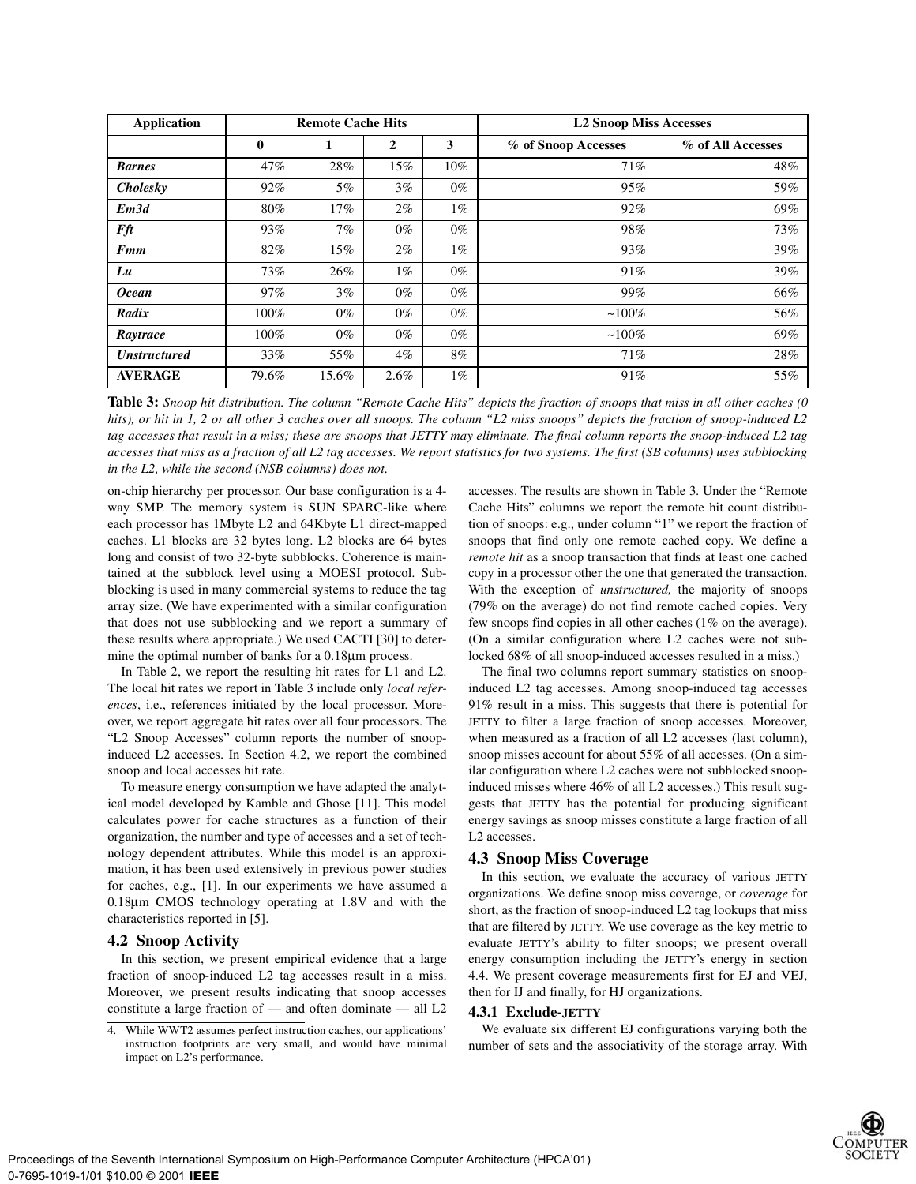| <b>Application</b>  | <b>Remote Cache Hits</b> |       |              |        | <b>L2 Snoop Miss Accesses</b> |                   |  |
|---------------------|--------------------------|-------|--------------|--------|-------------------------------|-------------------|--|
|                     | $\bf{0}$                 | 1     | $\mathbf{2}$ | 3      | % of Snoop Accesses           | % of All Accesses |  |
| <b>Barnes</b>       | 47%                      | 28%   | 15%          | $10\%$ | 71%                           | 48%               |  |
| <b>Cholesky</b>     | 92%                      | 5%    | $3\%$        | $0\%$  | 95%                           | 59%               |  |
| Em <sub>3d</sub>    | 80%                      | 17%   | $2\%$        | $1\%$  | 92%                           | 69%               |  |
| Fft                 | 93%                      | 7%    | $0\%$        | $0\%$  | 98%                           | 73%               |  |
| Fmm                 | 82%                      | 15%   | $2\%$        | $1\%$  | 93%                           | 39%               |  |
| Lu                  | 73%                      | 26%   | $1\%$        | $0\%$  | 91%                           | 39%               |  |
| <b>Ocean</b>        | 97%                      | $3\%$ | $0\%$        | $0\%$  | 99%                           | 66%               |  |
| Radix               | 100%                     | $0\%$ | $0\%$        | $0\%$  | $~100\%$                      | 56%               |  |
| Raytrace            | $100\%$                  | $0\%$ | $0\%$        | $0\%$  | $~100\%$                      | 69%               |  |
| <b>Unstructured</b> | 33%                      | 55%   | $4\%$        | $8\%$  | 71%                           | 28%               |  |
| <b>AVERAGE</b>      | 79.6%                    | 15.6% | 2.6%         | $1\%$  | 91%                           | 55%               |  |

**Table 3:** *Snoop hit distribution. The column "Remote Cache Hits" depicts the fraction of snoops that miss in all other caches (0 hits), or hit in 1, 2 or all other 3 caches over all snoops. The column "L2 miss snoops" depicts the fraction of snoop-induced L2 tag accesses that result in a miss; these are snoops that JETTY may eliminate. The final column reports the snoop-induced L2 tag accesses that miss as a fraction of all L2 tag accesses. We report statistics for two systems. The first (SB columns) uses subblocking in the L2, while the second (NSB columns) does not.*

on-chip hierarchy per processor. Our base configuration is a 4 way SMP. The memory system is SUN SPARC-like where each processor has 1Mbyte L2 and 64Kbyte L1 direct-mapped caches. L1 blocks are 32 bytes long. L2 blocks are 64 bytes long and consist of two 32-byte subblocks. Coherence is maintained at the subblock level using a MOESI protocol. Subblocking is used in many commercial systems to reduce the tag array size. (We have experimented with a similar configuration that does not use subblocking and we report a summary of these results where appropriate.) We used CACTI [30] to determine the optimal number of banks for a 0.18µm process.

In Table 2, we report the resulting hit rates for L1 and L2. The local hit rates we report in Table 3 include only *local references*, i.e., references initiated by the local processor. Moreover, we report aggregate hit rates over all four processors. The "L2 Snoop Accesses" column reports the number of snoopinduced L2 accesses. In Section 4.2, we report the combined snoop and local accesses hit rate.

To measure energy consumption we have adapted the analytical model developed by Kamble and Ghose [11]. This model calculates power for cache structures as a function of their organization, the number and type of accesses and a set of technology dependent attributes. While this model is an approximation, it has been used extensively in previous power studies for caches, e.g., [1]. In our experiments we have assumed a 0.18µm CMOS technology operating at 1.8V and with the characteristics reported in [5].

#### **4.2 Snoop Activity**

In this section, we present empirical evidence that a large fraction of snoop-induced L2 tag accesses result in a miss. Moreover, we present results indicating that snoop accesses constitute a large fraction of — and often dominate — all L2 accesses. The results are shown in Table 3. Under the "Remote Cache Hits" columns we report the remote hit count distribution of snoops: e.g., under column "1" we report the fraction of snoops that find only one remote cached copy. We define a *remote hit* as a snoop transaction that finds at least one cached copy in a processor other the one that generated the transaction. With the exception of *unstructured,* the majority of snoops (79% on the average) do not find remote cached copies. Very few snoops find copies in all other caches (1% on the average). (On a similar configuration where L2 caches were not sublocked 68% of all snoop-induced accesses resulted in a miss.)

The final two columns report summary statistics on snoopinduced L2 tag accesses. Among snoop-induced tag accesses 91% result in a miss. This suggests that there is potential for JETTY to filter a large fraction of snoop accesses. Moreover, when measured as a fraction of all L2 accesses (last column), snoop misses account for about 55% of all accesses. (On a similar configuration where L2 caches were not subblocked snoopinduced misses where 46% of all L2 accesses.) This result suggests that JETTY has the potential for producing significant energy savings as snoop misses constitute a large fraction of all L2 accesses.

#### **4.3 Snoop Miss Coverage**

In this section, we evaluate the accuracy of various JETTY organizations. We define snoop miss coverage, or *coverage* for short, as the fraction of snoop-induced L2 tag lookups that miss that are filtered by JETTY. We use coverage as the key metric to evaluate JETTY's ability to filter snoops; we present overall energy consumption including the JETTY's energy in section 4.4. We present coverage measurements first for EJ and VEJ, then for IJ and finally, for HJ organizations.

#### **4.3.1 Exclude-JETTY**

We evaluate six different EJ configurations varying both the number of sets and the associativity of the storage array. With

<sup>4.</sup> While WWT2 assumes perfect instruction caches, our applications' instruction footprints are very small, and would have minimal impact on L2's performance.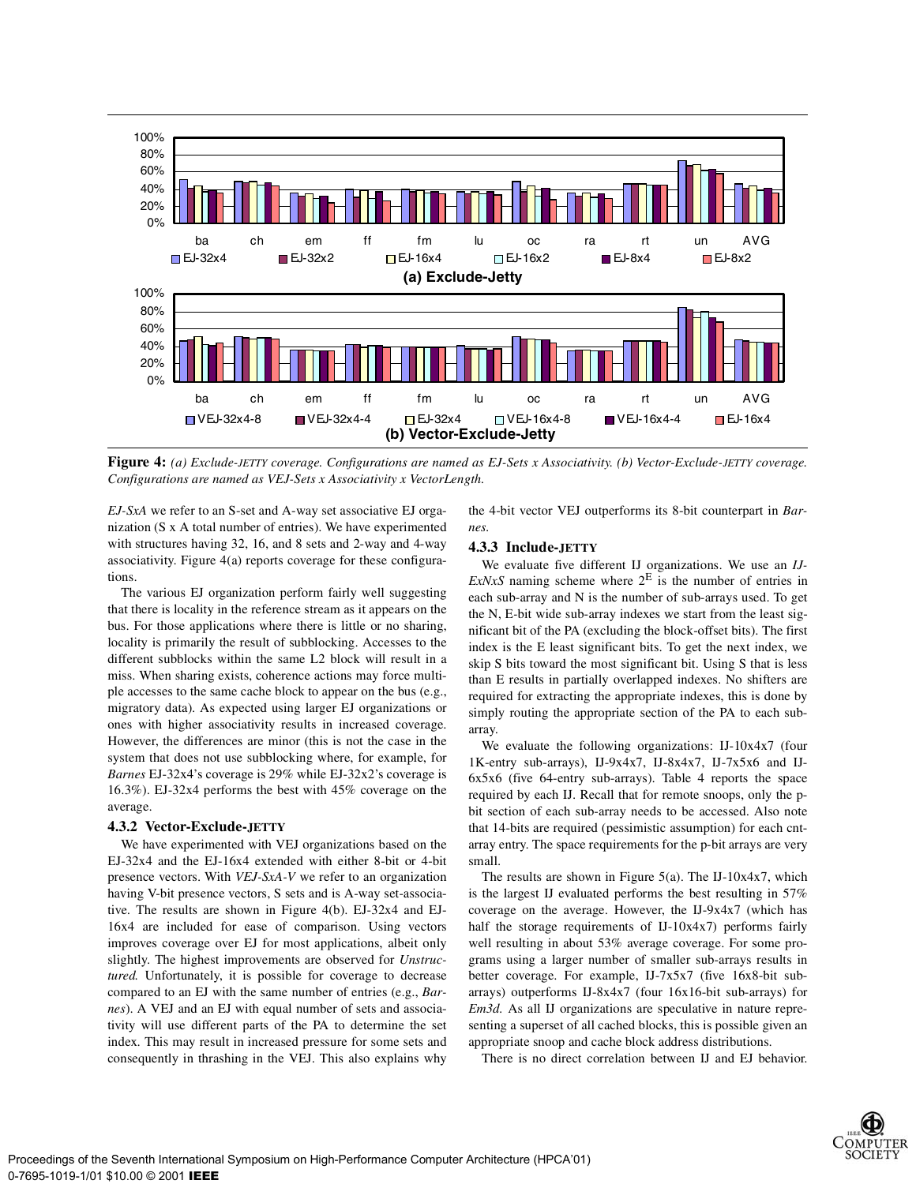

**Figure 4:** *(a) Exclude-JETTY coverage. Configurations are named as EJ-Sets x Associativity. (b) Vector-Exclude-JETTY coverage. Configurations are named as VEJ-Sets x Associativity x VectorLength.*

*EJ-SxA* we refer to an S-set and A-way set associative EJ organization (S x A total number of entries). We have experimented with structures having 32, 16, and 8 sets and 2-way and 4-way associativity. Figure 4(a) reports coverage for these configurations.

The various EJ organization perform fairly well suggesting that there is locality in the reference stream as it appears on the bus. For those applications where there is little or no sharing, locality is primarily the result of subblocking. Accesses to the different subblocks within the same L2 block will result in a miss. When sharing exists, coherence actions may force multiple accesses to the same cache block to appear on the bus (e.g., migratory data). As expected using larger EJ organizations or ones with higher associativity results in increased coverage. However, the differences are minor (this is not the case in the system that does not use subblocking where, for example, for *Barnes* EJ-32x4's coverage is 29% while EJ-32x2's coverage is 16.3%). EJ-32x4 performs the best with 45% coverage on the average.

#### **4.3.2 Vector-Exclude-JETTY**

We have experimented with VEJ organizations based on the EJ-32x4 and the EJ-16x4 extended with either 8-bit or 4-bit presence vectors. With *VEJ-SxA-V* we refer to an organization having V-bit presence vectors, S sets and is A-way set-associative. The results are shown in Figure 4(b). EJ-32x4 and EJ-16x4 are included for ease of comparison. Using vectors improves coverage over EJ for most applications, albeit only slightly. The highest improvements are observed for *Unstructured.* Unfortunately, it is possible for coverage to decrease compared to an EJ with the same number of entries (e.g., *Barnes*). A VEJ and an EJ with equal number of sets and associativity will use different parts of the PA to determine the set index. This may result in increased pressure for some sets and consequently in thrashing in the VEJ. This also explains why

the 4-bit vector VEJ outperforms its 8-bit counterpart in *Barnes.*

#### **4.3.3 Include-JETTY**

We evaluate five different IJ organizations. We use an *IJ-ExNxS* naming scheme where  $2^E$  is the number of entries in each sub-array and N is the number of sub-arrays used. To get the N, E*-*bit wide sub-array indexes we start from the least significant bit of the PA (excluding the block-offset bits). The first index is the E least significant bits. To get the next index, we skip S bits toward the most significant bit. Using S that is less than E results in partially overlapped indexes. No shifters are required for extracting the appropriate indexes, this is done by simply routing the appropriate section of the PA to each subarray.

We evaluate the following organizations: IJ-10x4x7 (four 1K-entry sub-arrays), IJ-9x4x7, IJ-8x4x7, IJ-7x5x6 and IJ-6x5x6 (five 64-entry sub-arrays). Table 4 reports the space required by each IJ. Recall that for remote snoops, only the pbit section of each sub-array needs to be accessed. Also note that 14-bits are required (pessimistic assumption) for each cntarray entry. The space requirements for the p-bit arrays are very small.

The results are shown in Figure  $5(a)$ . The IJ-10x4x7, which is the largest IJ evaluated performs the best resulting in 57% coverage on the average. However, the IJ-9x4x7 (which has half the storage requirements of IJ-10x4x7) performs fairly well resulting in about 53% average coverage. For some programs using a larger number of smaller sub-arrays results in better coverage. For example, IJ-7x5x7 (five 16x8-bit subarrays) outperforms IJ-8x4x7 (four 16x16-bit sub-arrays) for *Em3d.* As all IJ organizations are speculative in nature representing a superset of all cached blocks, this is possible given an appropriate snoop and cache block address distributions.

There is no direct correlation between IJ and EJ behavior.

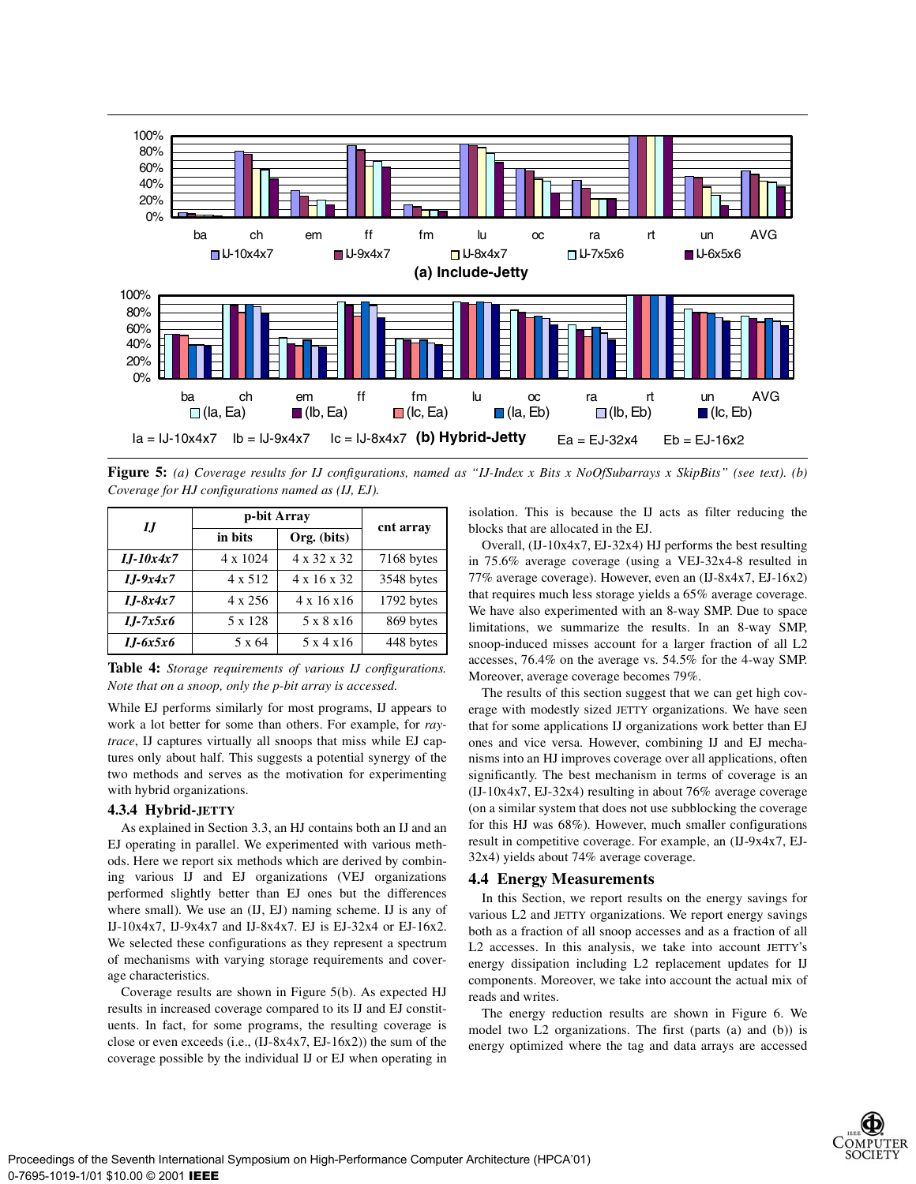

**Figure 5:** *(a) Coverage results for IJ configurations, named as "IJ-Index x Bits x NoOfSubarrays x SkipBits" (see text). (b) Coverage for HJ configurations named as (IJ, EJ).*

| IJ           | p-bit Array | cnt array               |            |  |
|--------------|-------------|-------------------------|------------|--|
|              | in bits     | Org. (bits)             |            |  |
| $I.J-10x4x7$ | 4 x 1024    | 4 x 32 x 32             | 7168 bytes |  |
| $I.J-9x4x7$  | 4 x 512     | $4 \times 16 \times 32$ | 3548 bytes |  |
| $I.J-8x4x7$  | 4 x 256     | $4 \times 16 \times 16$ | 1792 bytes |  |
| $I.J-7x5x6$  | 5 x 128     | 5 x 8 x 16              | 869 bytes  |  |
| $I.J-6x5x6$  | 5 x 64      | 5x4x16                  | 448 bytes  |  |

**Table 4:** *Storage requirements of various IJ configurations. Note that on a snoop, only the p-bit array is accessed.*

While EJ performs similarly for most programs, IJ appears to work a lot better for some than others. For example, for *raytrace*, IJ captures virtually all snoops that miss while EJ captures only about half. This suggests a potential synergy of the two methods and serves as the motivation for experimenting with hybrid organizations.

#### **4.3.4 Hybrid-JETTY**

As explained in Section 3.3, an HJ contains both an IJ and an EJ operating in parallel. We experimented with various methods. Here we report six methods which are derived by combining various IJ and EJ organizations (VEJ organizations performed slightly better than EJ ones but the differences where small). We use an (IJ, EJ) naming scheme. IJ is any of IJ-10x4x7, IJ-9x4x7 and IJ-8x4x7. EJ is EJ-32x4 or EJ-16x2. We selected these configurations as they represent a spectrum of mechanisms with varying storage requirements and coverage characteristics.

Coverage results are shown in Figure 5(b). As expected HJ results in increased coverage compared to its IJ and EJ constituents. In fact, for some programs, the resulting coverage is close or even exceeds (i.e., (IJ-8x4x7, EJ-16x2)) the sum of the coverage possible by the individual IJ or EJ when operating in

isolation. This is because the IJ acts as filter reducing the blocks that are allocated in the EJ.

Overall,  $(II-10x4x7, EJ-32x4)$  HJ performs the best resulting in 75.6% average coverage (using a VEJ-32x4-8 resulted in 77% average coverage). However, even an (IJ-8x4x7, EJ-16x2) that requires much less storage yields a 65% average coverage. We have also experimented with an 8-way SMP. Due to space limitations, we summarize the results. In an 8-way SMP, snoop-induced misses account for a larger fraction of all L2 accesses, 76.4% on the average vs. 54.5% for the 4-way SMP. Moreover, average coverage becomes 79%.

The results of this section suggest that we can get high coverage with modestly sized JETTY organizations. We have seen that for some applications IJ organizations work better than EJ ones and vice versa. However, combining IJ and EJ mechanisms into an HJ improves coverage over all applications, often significantly. The best mechanism in terms of coverage is an (IJ-10x4x7, EJ-32x4) resulting in about 76% average coverage (on a similar system that does not use subblocking the coverage for this HJ was 68%). However, much smaller configurations result in competitive coverage. For example, an (IJ-9x4x7, EJ-32x4) yields about 74% average coverage.

#### **4.4 Energy Measurements**

In this Section, we report results on the energy savings for various L2 and JETTY organizations. We report energy savings both as a fraction of all snoop accesses and as a fraction of all L2 accesses. In this analysis, we take into account JETTY's energy dissipation including L2 replacement updates for IJ components. Moreover, we take into account the actual mix of reads and writes.

The energy reduction results are shown in Figure 6. We model two L2 organizations. The first (parts (a) and (b)) is energy optimized where the tag and data arrays are accessed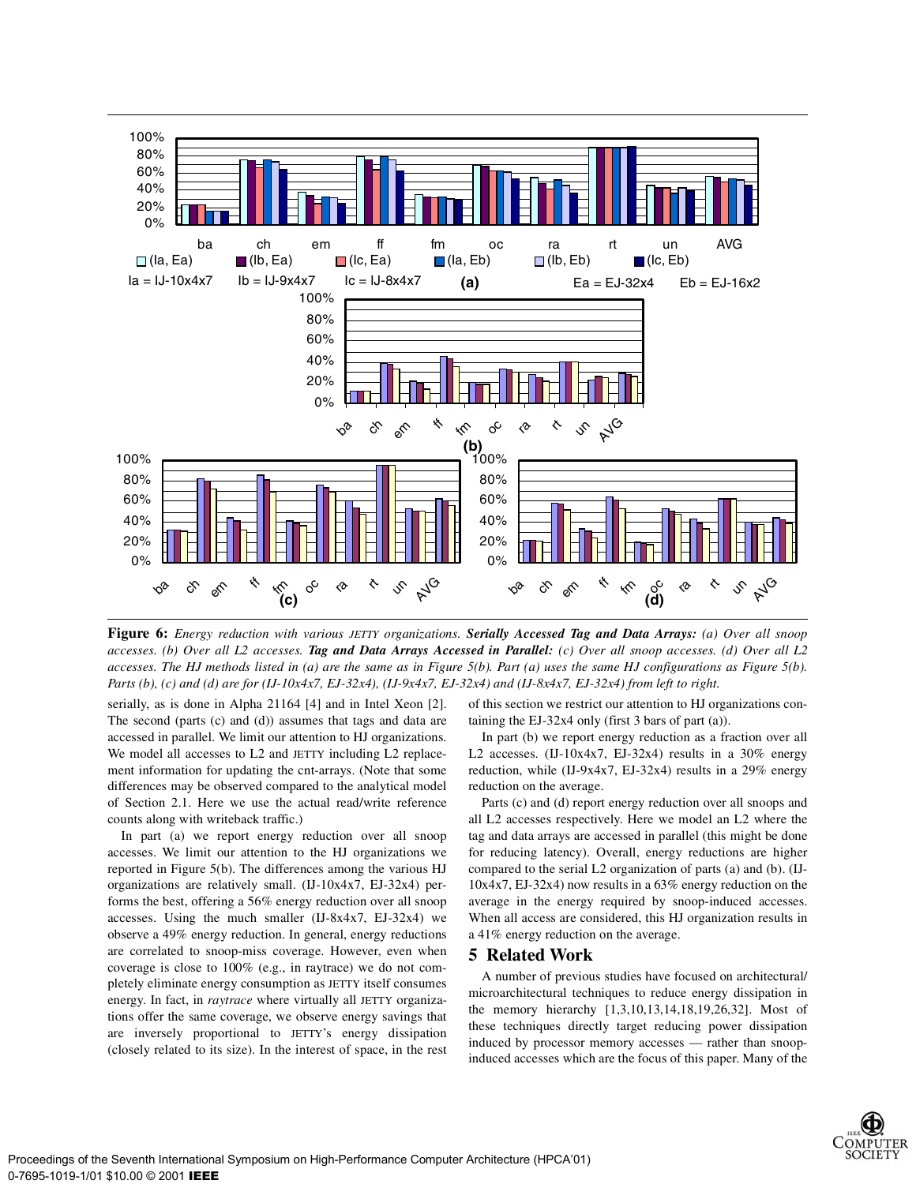

**Figure 6:** *Energy reduction with various JETTY organizations. Serially Accessed Tag and Data Arrays: (a) Over all snoop accesses. (b) Over all L2 accesses. Tag and Data Arrays Accessed in Parallel: (c) Over all snoop accesses. (d) Over all L2 accesses. The HJ methods listed in (a) are the same as in Figure 5(b). Part (a) uses the same HJ configurations as Figure 5(b). Parts (b), (c) and (d) are for (IJ-10x4x7, EJ-32x4), (IJ-9x4x7, EJ-32x4) and (IJ-8x4x7, EJ-32x4) from left to right.*

serially, as is done in Alpha 21164 [4] and in Intel Xeon [2]. The second (parts (c) and (d)) assumes that tags and data are accessed in parallel. We limit our attention to HJ organizations. We model all accesses to L2 and JETTY including L2 replacement information for updating the cnt-arrays. (Note that some differences may be observed compared to the analytical model of Section 2.1. Here we use the actual read/write reference counts along with writeback traffic.)

In part (a) we report energy reduction over all snoop accesses. We limit our attention to the HJ organizations we reported in Figure 5(b). The differences among the various HJ organizations are relatively small. (IJ-10x4x7, EJ-32x4) performs the best, offering a 56% energy reduction over all snoop accesses. Using the much smaller (IJ-8x4x7, EJ-32x4) we observe a 49% energy reduction. In general, energy reductions are correlated to snoop-miss coverage. However, even when coverage is close to 100% (e.g., in raytrace) we do not completely eliminate energy consumption as JETTY itself consumes energy. In fact, in *raytrace* where virtually all JETTY organizations offer the same coverage, we observe energy savings that are inversely proportional to JETTY's energy dissipation (closely related to its size). In the interest of space, in the rest

of this section we restrict our attention to HJ organizations containing the EJ-32x4 only (first 3 bars of part (a)).

In part (b) we report energy reduction as a fraction over all L2 accesses. (IJ-10x4x7, EJ-32x4) results in a  $30\%$  energy reduction, while (IJ-9x4x7, EJ-32x4) results in a 29% energy reduction on the average.

Parts (c) and (d) report energy reduction over all snoops and all L2 accesses respectively. Here we model an L2 where the tag and data arrays are accessed in parallel (this might be done for reducing latency). Overall, energy reductions are higher compared to the serial L2 organization of parts (a) and (b). (IJ-10x4x7, EJ-32x4) now results in a 63% energy reduction on the average in the energy required by snoop-induced accesses. When all access are considered, this HJ organization results in a 41% energy reduction on the average.

## **5 Related Work**

A number of previous studies have focused on architectural/ microarchitectural techniques to reduce energy dissipation in the memory hierarchy [1,3,10,13,14,18,19,26,32]. Most of these techniques directly target reducing power dissipation induced by processor memory accesses — rather than snoopinduced accesses which are the focus of this paper. Many of the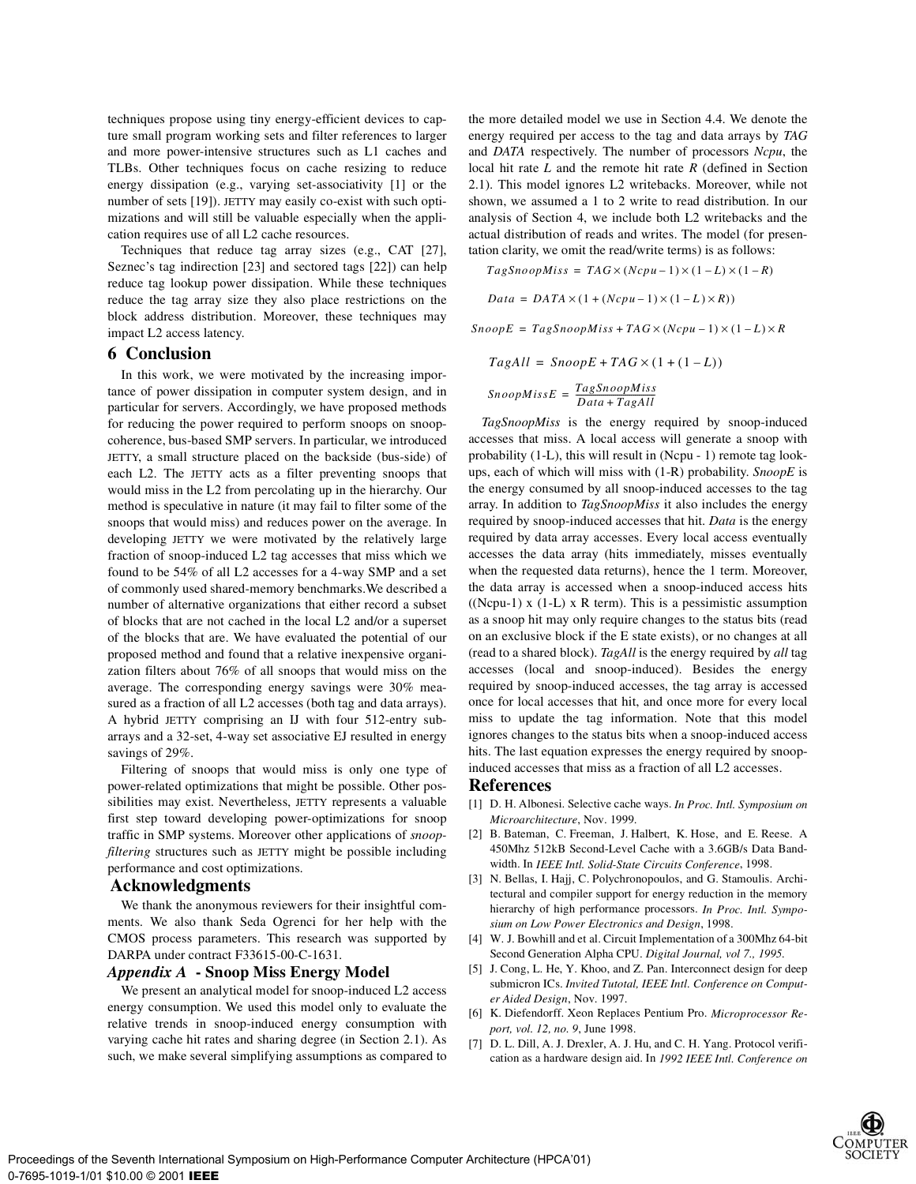techniques propose using tiny energy-efficient devices to capture small program working sets and filter references to larger and more power-intensive structures such as L1 caches and TLBs. Other techniques focus on cache resizing to reduce energy dissipation (e.g., varying set-associativity [1] or the number of sets [19]). JETTY may easily co-exist with such optimizations and will still be valuable especially when the application requires use of all L2 cache resources.

Techniques that reduce tag array sizes (e.g., CAT [27], Seznec's tag indirection [23] and sectored tags [22]) can help reduce tag lookup power dissipation. While these techniques reduce the tag array size they also place restrictions on the block address distribution. Moreover, these techniques may impact L2 access latency.

## **6 Conclusion**

In this work, we were motivated by the increasing importance of power dissipation in computer system design, and in particular for servers. Accordingly, we have proposed methods for reducing the power required to perform snoops on snoopcoherence, bus-based SMP servers. In particular, we introduced JETTY, a small structure placed on the backside (bus-side) of each L2. The JETTY acts as a filter preventing snoops that would miss in the L2 from percolating up in the hierarchy. Our method is speculative in nature (it may fail to filter some of the snoops that would miss) and reduces power on the average. In developing JETTY we were motivated by the relatively large fraction of snoop-induced L2 tag accesses that miss which we found to be 54% of all L2 accesses for a 4-way SMP and a set of commonly used shared-memory benchmarks.We described a number of alternative organizations that either record a subset of blocks that are not cached in the local L2 and/or a superset of the blocks that are. We have evaluated the potential of our proposed method and found that a relative inexpensive organization filters about 76% of all snoops that would miss on the average. The corresponding energy savings were 30% measured as a fraction of all L2 accesses (both tag and data arrays). A hybrid JETTY comprising an IJ with four 512-entry subarrays and a 32-set, 4-way set associative EJ resulted in energy savings of 29%.

Filtering of snoops that would miss is only one type of power-related optimizations that might be possible. Other possibilities may exist. Nevertheless, JETTY represents a valuable first step toward developing power-optimizations for snoop traffic in SMP systems. Moreover other applications of *snoopfiltering* structures such as JETTY might be possible including performance and cost optimizations.

## **Acknowledgments**

We thank the anonymous reviewers for their insightful comments. We also thank Seda Ogrenci for her help with the CMOS process parameters. This research was supported by DARPA under contract F33615-00-C-1631.

## *Appendix A* **- Snoop Miss Energy Model**

We present an analytical model for snoop-induced L2 access energy consumption. We used this model only to evaluate the relative trends in snoop-induced energy consumption with varying cache hit rates and sharing degree (in Section 2.1). As such, we make several simplifying assumptions as compared to

the more detailed model we use in Section 4.4. We denote the energy required per access to the tag and data arrays by *TAG* and *DATA* respectively. The number of processors *Ncpu*, the local hit rate *L* and the remote hit rate *R* (defined in Section 2.1). This model ignores L2 writebacks. Moreover, while not shown, we assumed a 1 to 2 write to read distribution. In our analysis of Section 4, we include both L2 writebacks and the actual distribution of reads and writes. The model (for presentation clarity, we omit the read/write terms) is as follows:

$$
TagSnoopMiss = TAG \times (Ncpu - 1) \times (1 - L) \times (1 - R)
$$
  

$$
Data = DATA \times (1 + (Ncpu - 1) \times (1 - L) \times R)
$$

 $SnoopE = TagSnoopMiss + TAG \times (Ncpu - 1) \times (1 - L) \times R$ 

$$
TagAll = SnoopE + TAG \times (1 + (1 - L))
$$

 $SnoopMissE = \frac{TagSnoopMiss}{Data+TagAll}$ 

*TagSnoopMiss* is the energy required by snoop-induced accesses that miss. A local access will generate a snoop with probability (1-L), this will result in (Ncpu - 1) remote tag lookups, each of which will miss with (1-R) probability. *SnoopE* is the energy consumed by all snoop-induced accesses to the tag array. In addition to *TagSnoopMiss* it also includes the energy required by snoop-induced accesses that hit. *Data* is the energy required by data array accesses. Every local access eventually accesses the data array (hits immediately, misses eventually when the requested data returns), hence the 1 term. Moreover, the data array is accessed when a snoop-induced access hits ((Ncpu-1)  $x$  (1-L)  $x$  R term). This is a pessimistic assumption as a snoop hit may only require changes to the status bits (read on an exclusive block if the E state exists), or no changes at all (read to a shared block). *TagAll* is the energy required by *all* tag accesses (local and snoop-induced). Besides the energy required by snoop-induced accesses, the tag array is accessed once for local accesses that hit, and once more for every local miss to update the tag information. Note that this model ignores changes to the status bits when a snoop-induced access hits. The last equation expresses the energy required by snoopinduced accesses that miss as a fraction of all L2 accesses.

#### **References**

- [1] D. H. Albonesi. Selective cache ways. *In Proc. Intl. Symposium on Microarchitecture*, Nov. 1999.
- [2] B. Bateman, C. Freeman, J. Halbert, K. Hose, and E. Reese. A 450Mhz 512kB Second-Level Cache with a 3.6GB/s Data Bandwidth. In *IEEE Intl. Solid-State Circuits Conference*, 1998.
- [3] N. Bellas, I. Hajj, C. Polychronopoulos, and G. Stamoulis. Architectural and compiler support for energy reduction in the memory hierarchy of high performance processors. *In Proc. Intl. Symposium on Low Power Electronics and Design*, 1998.
- [4] W. J. Bowhill and et al. Circuit Implementation of a 300Mhz 64-bit Second Generation Alpha CPU. *Digital Journal, vol 7., 1995.*
- [5] J. Cong, L. He, Y. Khoo, and Z. Pan. Interconnect design for deep submicron ICs. *Invited Tutotal, IEEE Intl. Conference on Computer Aided Design*, Nov. 1997.
- [6] K. Diefendorff. Xeon Replaces Pentium Pro. *Microprocessor Report, vol. 12, no. 9*, June 1998.
- [7] D. L. Dill, A. J. Drexler, A. J. Hu, and C. H. Yang. Protocol verification as a hardware design aid. In *1992 IEEE Intl. Conference on*